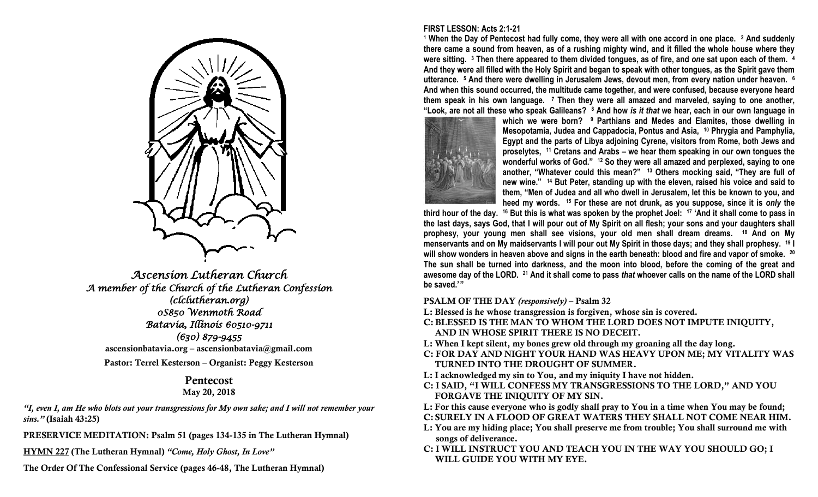

*Ascension Lutheran Church A member of the Church of the Lutheran Confession (clclutheran.org) 0S850 Wenmoth Road Batavia, Illinois 60510-9711 (630) 879-9455*  **ascensionbatavia.org – ascensionbatavia@gmail.com Pastor: Terrel Kesterson – Organist: Peggy Kesterson**

## **Pentecost May 20, 2018**

*"I, even I, am He who blots out your transgressions for My own sake; and I will not remember your sins."* **(Isaiah 43:25)**

**PRESERVICE MEDITATION: Psalm 51 (pages 134-135 in The Lutheran Hymnal)**

**HYMN 227 (The Lutheran Hymnal)** *"Come, Holy Ghost, In Love"*

**The Order Of The Confessional Service (pages 46-48, The Lutheran Hymnal)**

# **FIRST LESSON: Acts 2:1-21**

**<sup>1</sup> When the Day of Pentecost had fully come, they were all with one accord in one place. <sup>2</sup> And suddenly there came a sound from heaven, as of a rushing mighty wind, and it filled the whole house where they were sitting. <sup>3</sup> Then there appeared to them divided tongues, as of fire, and** *one* **sat upon each of them. <sup>4</sup> And they were all filled with the Holy Spirit and began to speak with other tongues, as the Spirit gave them utterance. <sup>5</sup> And there were dwelling in Jerusalem Jews, devout men, from every nation under heaven. <sup>6</sup> And when this sound occurred, the multitude came together, and were confused, because everyone heard them speak in his own language. <sup>7</sup> Then they were all amazed and marveled, saying to one another, "Look, are not all these who speak Galileans? <sup>8</sup> And how** *is it that* **we hear, each in our own language in** 



**which we were born? <sup>9</sup> Parthians and Medes and Elamites, those dwelling in Mesopotamia, Judea and Cappadocia, Pontus and Asia, <sup>10</sup> Phrygia and Pamphylia, Egypt and the parts of Libya adjoining Cyrene, visitors from Rome, both Jews and proselytes, <sup>11</sup> Cretans and Arabs – we hear them speaking in our own tongues the wonderful works of God." <sup>12</sup> So they were all amazed and perplexed, saying to one another, "Whatever could this mean?" <sup>13</sup> Others mocking said, "They are full of new wine." <sup>14</sup> But Peter, standing up with the eleven, raised his voice and said to them, "Men of Judea and all who dwell in Jerusalem, let this be known to you, and heed my words. <sup>15</sup> For these are not drunk, as you suppose, since it is** *only* **the** 

**third hour of the day. <sup>16</sup> But this is what was spoken by the prophet Joel: <sup>17</sup> 'And it shall come to pass in the last days, says God, that I will pour out of My Spirit on all flesh; your sons and your daughters shall prophesy, your young men shall see visions, your old men shall dream dreams. <sup>18</sup> And on My menservants and on My maidservants I will pour out My Spirit in those days; and they shall prophesy. <sup>19</sup> I will show wonders in heaven above and signs in the earth beneath: blood and fire and vapor of smoke. <sup>20</sup> The sun shall be turned into darkness, and the moon into blood, before the coming of the great and awesome day of the LORD. <sup>21</sup> And it shall come to pass** *that* **whoever calls on the name of the LORD shall be saved.' "**

**PSALM OF THE DAY** *(responsively)* **– Psalm 32**

- **L: Blessed is he whose transgression is forgiven, whose sin is covered.**
- **C: BLESSED IS THE MAN TO WHOM THE LORD DOES NOT IMPUTE INIQUITY, AND IN WHOSE SPIRIT THERE IS NO DECEIT.**
- **L: When I kept silent, my bones grew old through my groaning all the day long.**
- **C: FOR DAY AND NIGHT YOUR HAND WAS HEAVY UPON ME; MY VITALITY WAS TURNED INTO THE DROUGHT OF SUMMER.**
- **L: I acknowledged my sin to You, and my iniquity I have not hidden.**
- **C: I SAID, "I WILL CONFESS MY TRANSGRESSIONS TO THE LORD," AND YOU FORGAVE THE INIQUITY OF MY SIN.**

**L: For this cause everyone who is godly shall pray to You in a time when You may be found; C: SURELY IN A FLOOD OF GREAT WATERS THEY SHALL NOT COME NEAR HIM.**

- **L: You are my hiding place; You shall preserve me from trouble; You shall surround me with songs of deliverance.**
- **C: I WILL INSTRUCT YOU AND TEACH YOU IN THE WAY YOU SHOULD GO; I WILL GUIDE YOU WITH MY EYE.**